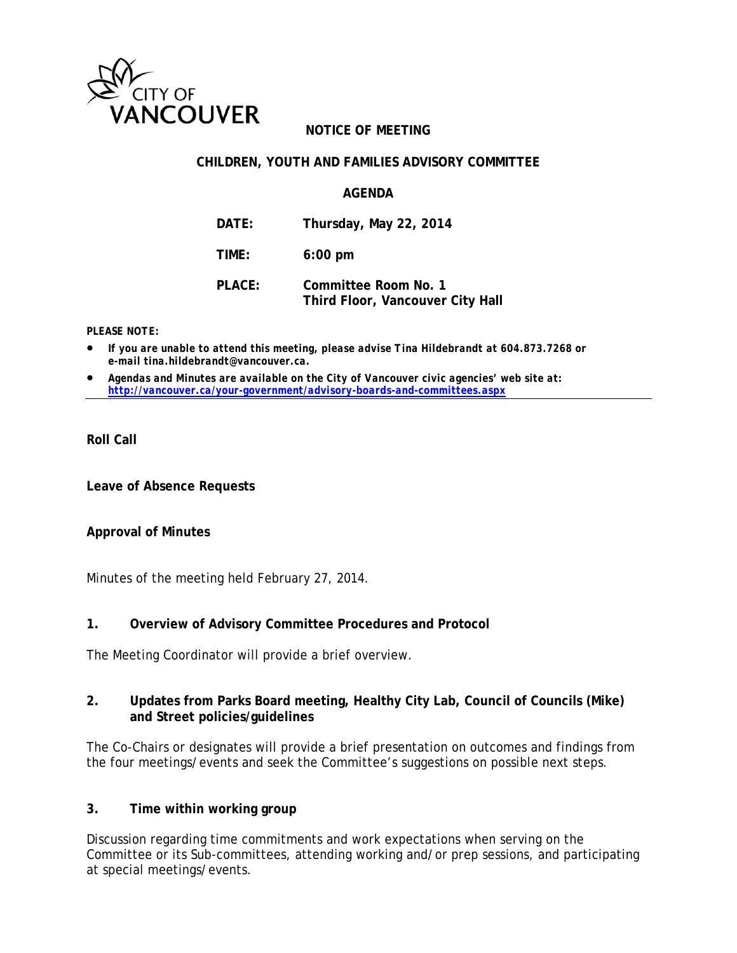

# **NOTICE OF MEETING**

### **CHILDREN, YOUTH AND FAMILIES ADVISORY COMMITTEE**

#### **AGENDA**

| DATE:  | Thursday, May 22, 2014                                   |
|--------|----------------------------------------------------------|
| TIME:  | $6:00$ pm                                                |
| PLACE: | Committee Room No. 1<br>Third Floor, Vancouver City Hall |

#### *PLEASE NOTE:*

- *If you are unable to attend this meeting, please advise Tina Hildebrandt at 604.873.7268 or e-mail tina.hildebrandt@vancouver.ca.*
- *Agendas and Minutes are available on the City of Vancouver civic agencies' web site at: http://vancouver.ca/your-government/advisory-boards-and-committees.aspx*

## **Roll Call**

**Leave of Absence Requests** 

#### **Approval of Minutes**

Minutes of the meeting held February 27, 2014.

#### **1. Overview of Advisory Committee Procedures and Protocol**

The Meeting Coordinator will provide a brief overview.

#### **2. Updates from Parks Board meeting, Healthy City Lab, Council of Councils (Mike) and Street policies/guidelines**

The Co-Chairs or designates will provide a brief presentation on outcomes and findings from the four meetings/events and seek the Committee's suggestions on possible next steps.

#### **3. Time within working group**

Discussion regarding time commitments and work expectations when serving on the Committee or its Sub-committees, attending working and/or prep sessions, and participating at special meetings/events.